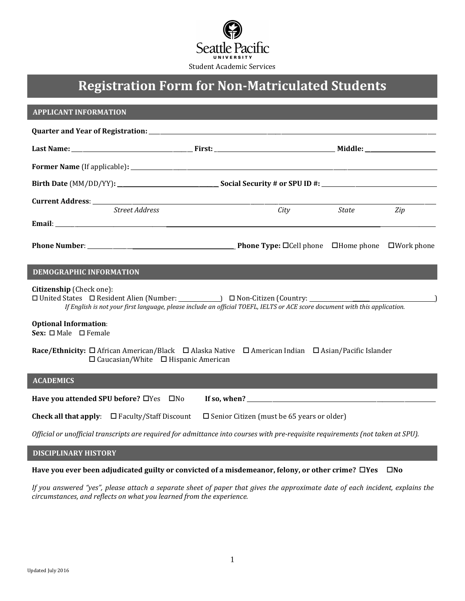

# **Registration Form for Non-Matriculated Students**

### **APPLICANT INFORMATION**

| <b>Street Address</b> |  | City | State | Zip |  |  |  |  |  |  |
|-----------------------|--|------|-------|-----|--|--|--|--|--|--|
|                       |  |      |       |     |  |  |  |  |  |  |
|                       |  |      |       |     |  |  |  |  |  |  |

## **DEMOGRAPHIC INFORMATION**

**Citizenship** (Check one):

 $\Box$  United States  $\Box$  Resident Alien (Number: )  $\Box$  Non-Citizen (Country: *If English is not your first language, please include an official TOEFL, IELTS or ACE score document with this application.*

# **Optional Information**:

Sex: □ Male □ Female

**Race/Ethnicity:** □ African American/Black □ Alaska Native □ American Indian □ Asian/Pacific Islander  $\square$  Caucasian/White  $\square$  Hispanic American

## **ACADEMICS**

**Have you attended SPU before?** Yes No **If so, when?** \_\_\_\_\_\_\_\_\_\_\_\_\_\_\_\_\_\_\_\_\_\_\_\_\_\_\_\_\_\_\_\_\_\_\_\_\_\_\_\_\_\_\_\_\_\_\_\_\_\_\_\_\_\_\_\_\_\_\_\_\_\_\_\_\_\_\_

**Check all that apply:**  $\Box$  Faculty/Staff Discount  $\Box$  Senior Citizen (must be 65 years or older)

*Official or unofficial transcripts are required for admittance into courses with pre-requisite requirements (not taken at SPU).* 

### **DISCIPLINARY HISTORY**

**Have you ever been adjudicated guilty or convicted of a misdemeanor, felony, or other crime? □Yes □No** 

*If you answered "yes", please attach a separate sheet of paper that gives the approximate date of each incident, explains the circumstances, and reflects on what you learned from the experience.*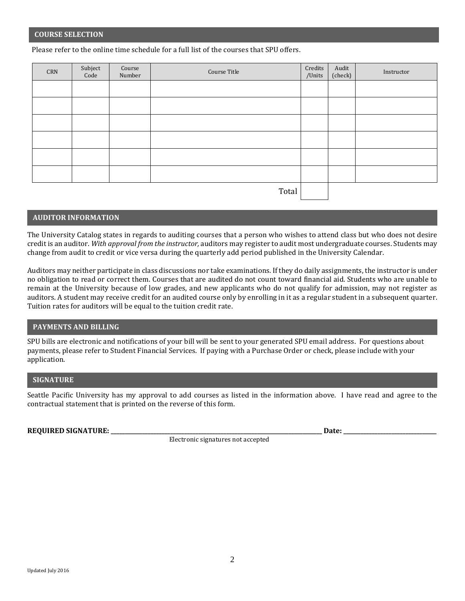#### **COURSE SELECTION**

Please refer to the online time schedule for a full list of the courses that SPU offers.

| $\mathsf{CRN}$ | Subject<br>Code | $\operatorname{Course}$<br>Number | Course Title | Credits<br>/Units | Audit<br>(check) | Instructor |
|----------------|-----------------|-----------------------------------|--------------|-------------------|------------------|------------|
|                |                 |                                   |              |                   |                  |            |
|                |                 |                                   |              |                   |                  |            |
|                |                 |                                   |              |                   |                  |            |
|                |                 |                                   |              |                   |                  |            |
|                |                 |                                   |              |                   |                  |            |
|                |                 |                                   |              |                   |                  |            |
|                |                 |                                   | Total        |                   |                  |            |

## **AUDITOR INFORMATION**

The University Catalog states in regards to auditing courses that a person who wishes to attend class but who does not desire credit is an auditor. *With approval from the instructor,* auditors may register to audit most undergraduate courses. Students may change from audit to credit or vice versa during the quarterly add period published in the University Calendar.

Auditors may neither participate in class discussions nor take examinations. If they do daily assignments, the instructor is under no obligation to read or correct them. Courses that are audited do not count toward financial aid. Students who are unable to remain at the University because of low grades, and new applicants who do not qualify for admission, may not register as auditors. A student may receive credit for an audited course only by enrolling in it as a regular student in a subsequent quarter. Tuition rates for auditors will be equal to the tuition credit rate.

## **PAYMENTS AND BILLING**

SPU bills are electronic and notifications of your bill will be sent to your generated SPU email address. For questions about payments, please refer to Student Financial Services. If paying with a Purchase Order or check, please include with your application.

### **SIGNATURE**

Seattle Pacific University has my approval to add courses as listed in the information above. I have read and agree to the contractual statement that is printed on the reverse of this form.

#### **REQUIRED SIGNATURE: \_\_\_\_\_\_\_\_\_\_\_\_\_\_\_\_\_\_\_\_\_\_\_\_\_\_\_\_\_\_\_\_\_\_\_\_\_\_\_\_\_\_\_\_\_\_\_\_\_\_\_\_\_\_\_\_\_\_\_\_\_\_\_\_\_\_\_\_\_\_\_\_\_\_\_ Date: \_\_\_\_\_\_\_\_\_\_\_\_\_\_\_\_\_\_\_\_\_\_\_\_\_\_\_\_\_\_\_\_\_**

**Electronic signatures not accepted**